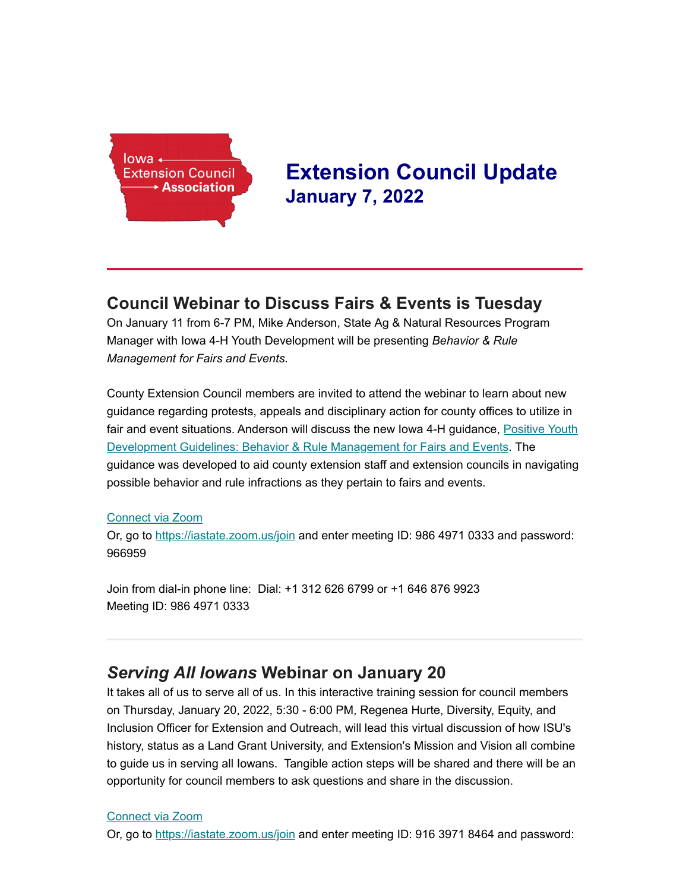

# **Extension Council Update January 7, 2022**

### **Council Webinar to Discuss Fairs & Events is Tuesday**

On January 11 from 6-7 PM, Mike Anderson, State Ag & Natural Resources Program Manager with Iowa 4-H Youth Development will be presenting *Behavior & Rule Management for Fairs and Events*.

County Extension Council members are invited to attend the webinar to learn about new guidance regarding protests, appeals and disciplinary action for county offices to utilize in fair and event situations. Anderson will discuss the new Iowa 4-H guidance, Positive Youth [Development Guidelines: Behavior & Rule Management for Fairs and Events. The](https://www.extension.iastate.edu/4h/files/page/files/pyd_guidelines_behavior_and_rule_management_for_fairs_and_events.pdf) guidance was developed to aid county extension staff and extension councils in navigating possible behavior and rule infractions as they pertain to fairs and events.

#### [Connect via Zoom](https://iastate.zoom.us/j/98649710333?pwd=M1JadHlEQ1ppbmo2TVgydExDRC9Fdz09&from=addon)

Or, go to<https://iastate.zoom.us/join> and enter meeting ID: 986 4971 0333 and password: 966959

Join from dial-in phone line: Dial: +1 312 626 6799 or +1 646 876 9923 Meeting ID: 986 4971 0333

### *Serving All Iowans* **Webinar on January 20**

It takes all of us to serve all of us. In this interactive training session for council members on Thursday, January 20, 2022, 5:30 - 6:00 PM, Regenea Hurte, Diversity, Equity, and Inclusion Officer for Extension and Outreach, will lead this virtual discussion of how ISU's history, status as a Land Grant University, and Extension's Mission and Vision all combine to guide us in serving all Iowans. Tangible action steps will be shared and there will be an opportunity for council members to ask questions and share in the discussion.

#### [Connect via Zoom](https://iastate.zoom.us/j/91639718464?pwd=UTlicno4SDIwWGpUaG13cE1sZEMzZz09&from=addon)

Or, go to<https://iastate.zoom.us/join> and enter meeting ID: 916 3971 8464 and password: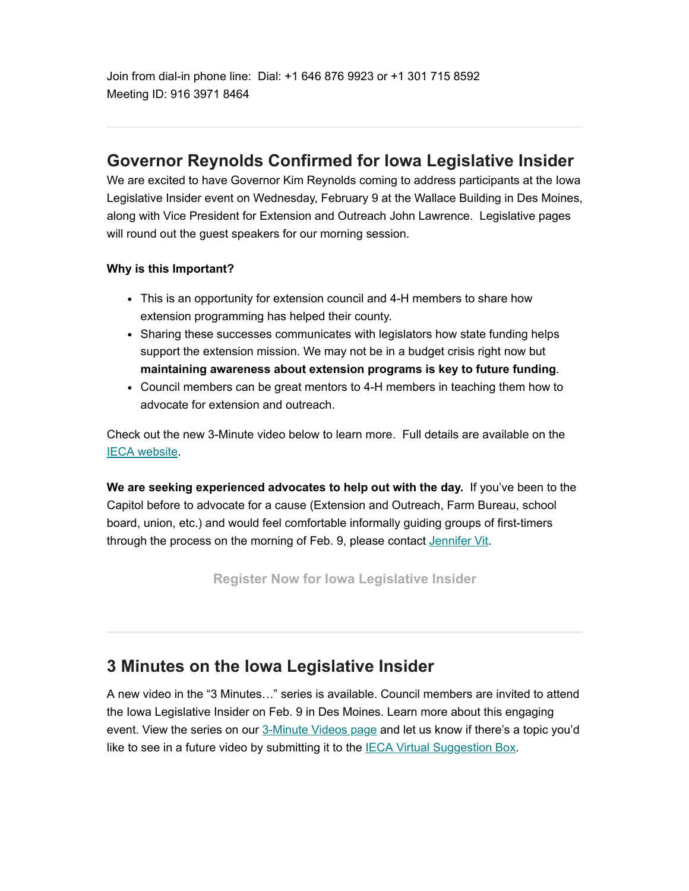Join from dial-in phone line: Dial: +1 646 876 9923 or +1 301 715 8592 Meeting ID: 916 3971 8464

### **Governor Reynolds Confirmed for Iowa Legislative Insider**

We are excited to have Governor Kim Reynolds coming to address participants at the Iowa Legislative Insider event on Wednesday, February 9 at the Wallace Building in Des Moines, along with Vice President for Extension and Outreach John Lawrence. Legislative pages will round out the guest speakers for our morning session.

#### **Why is this Important?**

- This is an opportunity for extension council and 4-H members to share how extension programming has helped their county.
- Sharing these successes communicates with legislators how state funding helps support the extension mission. We may not be in a budget crisis right now but **maintaining awareness about extension programs is key to future funding**.
- Council members can be great mentors to 4-H members in teaching them how to advocate for extension and outreach.

Check out the new 3-Minute video below to learn more. Full details are available on the [IECA website.](https://www.iaextensioncouncils.org/inside-ieca-government-relations)

**We are seeking experienced advocates to help out with the day.** If you've been to the Capitol before to advocate for a cause (Extension and Outreach, Farm Bureau, school board, union, etc.) and would feel comfortable informally guiding groups of first-timers through the process on the morning of Feb. 9, please contact [Jennifer Vit.](http://jvit@iastate.edu/)

**[Register Now for Iowa Legislative Insider](https://mailchi.mp/5be7a05dcf7a/d60z48omjt-8718441)**

## **3 Minutes on the Iowa Legislative Insider**

A new video in the "3 Minutes…" series is available. Council members are invited to attend the Iowa Legislative Insider on Feb. 9 in Des Moines. Learn more about this engaging event. View the series on our [3-Minute Videos page](https://www.iaextensioncouncils.org/3-minute-videos) and let us know if there's a topic you'd like to see in a future video by submitting it to the **IECA Virtual Suggestion Box**.